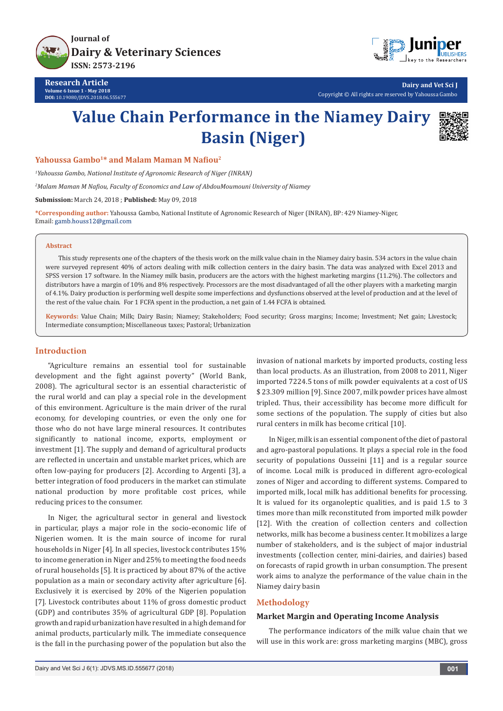



**Research Article Volume 6 Issue 1 - May 2018 DOI:** [10.19080/JDVS.2018.06.55567](http://dx.doi.org/10.19080/JDVS.2018.06.555677)7

**Dairy and Vet Sci J** Copyright © All rights are reserved by Yahoussa Gambo

# **Value Chain Performance in the Niamey Dairy Basin (Niger)**



#### **Yahoussa Gambo1\* and Malam Maman M Nafiou<sup>2</sup>**

*1 Yahoussa Gambo, National Institute of Agronomic Research of Niger (INRAN)*

*2 Malam Maman M Nafiou, Faculty of Economics and Law of AbdouMoumouni University of Niamey*

**Submission:** March 24, 2018 ; **Published:** May 09, 2018

**\*Corresponding author:** Yahoussa Gambo, National Institute of Agronomic Research of Niger (INRAN), BP: 429 Niamey-Niger, Email: gamb.houss12@gmail.com

#### **Abstract**

This study represents one of the chapters of the thesis work on the milk value chain in the Niamey dairy basin. 534 actors in the value chain were surveyed represent 40% of actors dealing with milk collection centers in the dairy basin. The data was analyzed with Excel 2013 and SPSS version 17 software. In the Niamey milk basin, producers are the actors with the highest marketing margins (11.2%). The collectors and distributors have a margin of 10% and 8% respectively. Processors are the most disadvantaged of all the other players with a marketing margin of 4.1%. Dairy production is performing well despite some imperfections and dysfunctions observed at the level of production and at the level of the rest of the value chain. For 1 FCFA spent in the production, a net gain of 1.44 FCFA is obtained.

**Keywords:** Value Chain; Milk; Dairy Basin; Niamey; Stakeholders; Food security; Gross margins; Income; Investment; Net gain; Livestock; Intermediate consumption; Miscellaneous taxes; Pastoral; Urbanization

#### **Introduction**

"Agriculture remains an essential tool for sustainable development and the fight against poverty" (World Bank, 2008). The agricultural sector is an essential characteristic of the rural world and can play a special role in the development of this environment. Agriculture is the main driver of the rural economy, for developing countries, or even the only one for those who do not have large mineral resources. It contributes significantly to national income, exports, employment or investment [1]. The supply and demand of agricultural products are reflected in uncertain and unstable market prices, which are often low-paying for producers [2]. According to Argenti [3], a better integration of food producers in the market can stimulate national production by more profitable cost prices, while reducing prices to the consumer.

In Niger, the agricultural sector in general and livestock in particular, plays a major role in the socio-economic life of Nigerien women. It is the main source of income for rural households in Niger [4]. In all species, livestock contributes 15% to income generation in Niger and 25% to meeting the food needs of rural households [5]. It is practiced by about 87% of the active population as a main or secondary activity after agriculture [6]. Exclusively it is exercised by 20% of the Nigerien population [7]. Livestock contributes about 11% of gross domestic product (GDP) and contributes 35% of agricultural GDP [8]. Population growth and rapid urbanization have resulted in a high demand for animal products, particularly milk. The immediate consequence is the fall in the purchasing power of the population but also the

invasion of national markets by imported products, costing less than local products. As an illustration, from 2008 to 2011, Niger imported 7224.5 tons of milk powder equivalents at a cost of US \$ 23.309 million [9]. Since 2007, milk powder prices have almost tripled. Thus, their accessibility has become more difficult for some sections of the population. The supply of cities but also rural centers in milk has become critical [10].

In Niger, milk is an essential component of the diet of pastoral and agro-pastoral populations. It plays a special role in the food security of populations Ousseini [11] and is a regular source of income. Local milk is produced in different agro-ecological zones of Niger and according to different systems. Compared to imported milk, local milk has additional benefits for processing. It is valued for its organoleptic qualities, and is paid 1.5 to 3 times more than milk reconstituted from imported milk powder [12]. With the creation of collection centers and collection networks, milk has become a business center. It mobilizes a large number of stakeholders, and is the subject of major industrial investments (collection center, mini-dairies, and dairies) based on forecasts of rapid growth in urban consumption. The present work aims to analyze the performance of the value chain in the Niamey dairy basin

#### **Methodology**

#### **Market Margin and Operating Income Analysis**

The performance indicators of the milk value chain that we will use in this work are: gross marketing margins (MBC), gross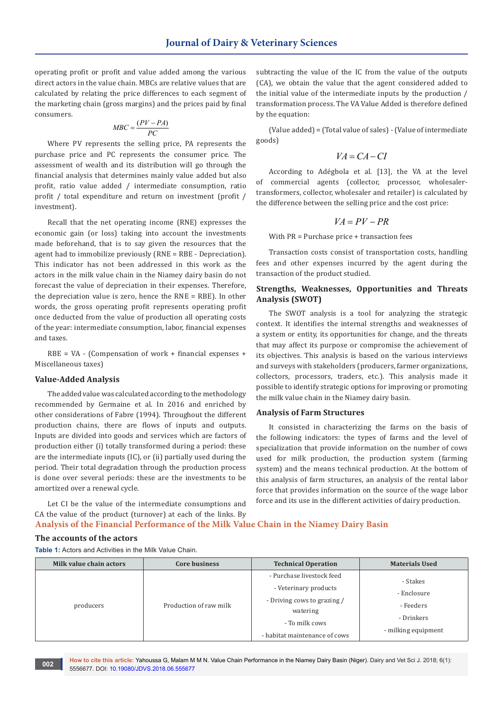operating profit or profit and value added among the various direct actors in the value chain. MBCs are relative values that are calculated by relating the price differences to each segment of the marketing chain (gross margins) and the prices paid by final consumers.

$$
MBC = \frac{(PV - PA)}{PC}
$$

Where PV represents the selling price, PA represents the purchase price and PC represents the consumer price. The assessment of wealth and its distribution will go through the financial analysis that determines mainly value added but also profit, ratio value added / intermediate consumption, ratio profit / total expenditure and return on investment (profit / investment).

Recall that the net operating income (RNE) expresses the economic gain (or loss) taking into account the investments made beforehand, that is to say given the resources that the agent had to immobilize previously (RNE = RBE - Depreciation). This indicator has not been addressed in this work as the actors in the milk value chain in the Niamey dairy basin do not forecast the value of depreciation in their expenses. Therefore, the depreciation value is zero, hence the RNE = RBE). In other words, the gross operating profit represents operating profit once deducted from the value of production all operating costs of the year: intermediate consumption, labor, financial expenses and taxes.

RBE = VA - (Compensation of work + financial expenses + Miscellaneous taxes)

#### **Value-Added Analysis**

The added value was calculated according to the methodology recommended by Germaine et al. In 2016 and enriched by other considerations of Fabre (1994). Throughout the different production chains, there are flows of inputs and outputs. Inputs are divided into goods and services which are factors of production either (i) totally transformed during a period: these are the intermediate inputs (IC), or (ii) partially used during the period. Their total degradation through the production process is done over several periods: these are the investments to be amortized over a renewal cycle.

subtracting the value of the IC from the value of the outputs (CA), we obtain the value that the agent considered added to the initial value of the intermediate inputs by the production / transformation process. The VA Value Added is therefore defined by the equation:

(Value added) = (Total value of sales) - (Value of intermediate goods)

$$
VA = CA - CI
$$

According to Adégbola et al. [13], the VA at the level of commercial agents (collector, processor, wholesalertransformers, collector, wholesaler and retailer) is calculated by the difference between the selling price and the cost price:

$$
VA = PV - PR
$$

With PR = Purchase price + transaction fees

Transaction costs consist of transportation costs, handling fees and other expenses incurred by the agent during the transaction of the product studied.

#### **Strengths, Weaknesses, Opportunities and Threats Analysis (SWOT)**

The SWOT analysis is a tool for analyzing the strategic context. It identifies the internal strengths and weaknesses of a system or entity, its opportunities for change, and the threats that may affect its purpose or compromise the achievement of its objectives. This analysis is based on the various interviews and surveys with stakeholders (producers, farmer organizations, collectors, processors, traders, etc.). This analysis made it possible to identify strategic options for improving or promoting the milk value chain in the Niamey dairy basin.

#### **Analysis of Farm Structures**

It consisted in characterizing the farms on the basis of the following indicators: the types of farms and the level of specialization that provide information on the number of cows used for milk production, the production system (farming system) and the means technical production. At the bottom of this analysis of farm structures, an analysis of the rental labor force that provides information on the source of the wage labor force and its use in the different activities of dairy production.

Let CI be the value of the intermediate consumptions and CA the value of the product (turnover) at each of the links. By **Analysis of the Financial Performance of the Milk Value Chain in the Niamey Dairy Basin**

#### **The accounts of the actors**

**Table 1:** Actors and Activities in the Milk Value Chain.

| Milk value chain actors | Core business          | <b>Technical Operation</b>                                                                                                                       | <b>Materials Used</b>                                                     |
|-------------------------|------------------------|--------------------------------------------------------------------------------------------------------------------------------------------------|---------------------------------------------------------------------------|
| producers               | Production of raw milk | - Purchase livestock feed<br>- Veterinary products<br>- Driving cows to grazing /<br>watering<br>- To milk cows<br>- habitat maintenance of cows | - Stakes<br>- Enclosure<br>- Feeders<br>- Drinkers<br>- milking equipment |

**How to cite this article:** Yahoussa G, Malam M M N. Value Chain Performance in the Niamey Dairy Basin (Niger). Dairy and Vet Sci J. 2018; 6(1): 5556677. DOI: [10.19080/JDVS.2018.06.555677](http://dx.doi.org/10.19080/JDVS.2018.06.555677) **<sup>002</sup>**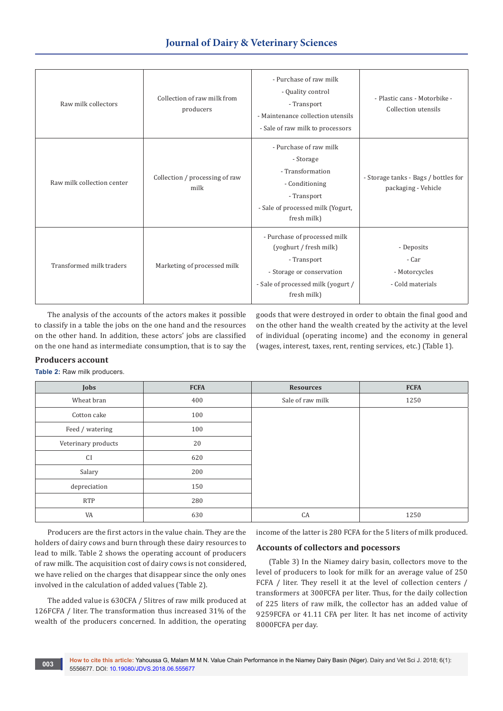# **Journal of Dairy & Veterinary Sciences**

| Raw milk collectors        | Collection of raw milk from<br>producers | - Purchase of raw milk<br>- Quality control<br>- Transport<br>- Maintenance collection utensils<br>- Sale of raw milk to processors                     | - Plastic cans - Motorbike -<br>Collection utensils         |
|----------------------------|------------------------------------------|---------------------------------------------------------------------------------------------------------------------------------------------------------|-------------------------------------------------------------|
| Raw milk collection center | Collection / processing of raw<br>milk   | - Purchase of raw milk<br>- Storage<br>- Transformation<br>- Conditioning<br>- Transport<br>- Sale of processed milk (Yogurt,<br>fresh milk)            | - Storage tanks - Bags / bottles for<br>packaging - Vehicle |
| Transformed milk traders   | Marketing of processed milk              | - Purchase of processed milk<br>(yoghurt / fresh milk)<br>- Transport<br>- Storage or conservation<br>- Sale of processed milk (yogurt /<br>fresh milk) | - Deposits<br>- Car<br>- Motorcycles<br>- Cold materials    |

The analysis of the accounts of the actors makes it possible to classify in a table the jobs on the one hand and the resources on the other hand. In addition, these actors' jobs are classified on the one hand as intermediate consumption, that is to say the goods that were destroyed in order to obtain the final good and on the other hand the wealth created by the activity at the level of individual (operating income) and the economy in general (wages, interest, taxes, rent, renting services, etc.) (Table 1).

#### **Producers account**

**Table 2:** Raw milk producers.

| <b>Jobs</b>         | <b>FCFA</b> | <b>Resources</b> | <b>FCFA</b> |
|---------------------|-------------|------------------|-------------|
| Wheat bran          | 400         | Sale of raw milk | 1250        |
| Cotton cake         | 100         |                  |             |
| Feed / watering     | 100         |                  |             |
| Veterinary products | 20          |                  |             |
| <b>CI</b>           | 620         |                  |             |
| Salary              | 200         |                  |             |
| depreciation        | 150         |                  |             |
| <b>RTP</b>          | 280         |                  |             |
| VA                  | 630         | CA               | 1250        |

Producers are the first actors in the value chain. They are the holders of dairy cows and burn through these dairy resources to lead to milk. Table 2 shows the operating account of producers of raw milk. The acquisition cost of dairy cows is not considered, we have relied on the charges that disappear since the only ones involved in the calculation of added values (Table 2).

The added value is 630CFA / 5litres of raw milk produced at 126FCFA / liter. The transformation thus increased 31% of the wealth of the producers concerned. In addition, the operating

income of the latter is 280 FCFA for the 5 liters of milk produced.

#### **Accounts of collectors and pocessors**

(Table 3) In the Niamey dairy basin, collectors move to the level of producers to look for milk for an average value of 250 FCFA / liter. They resell it at the level of collection centers / transformers at 300FCFA per liter. Thus, for the daily collection of 225 liters of raw milk, the collector has an added value of 9259FCFA or 41.11 CFA per liter. It has net income of activity 8000FCFA per day.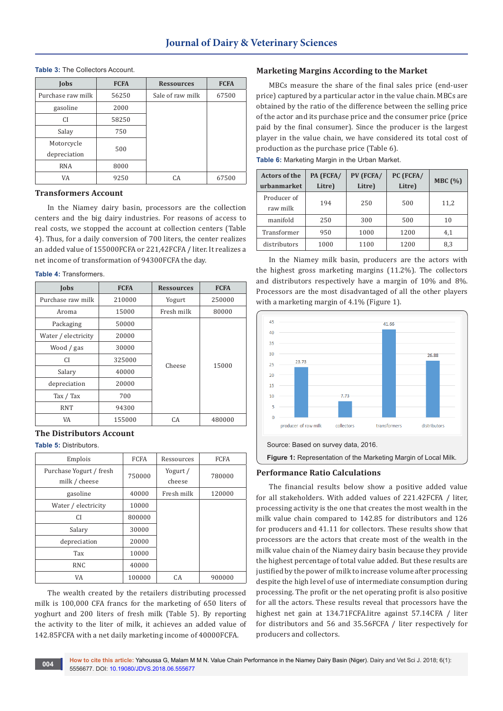#### **Table 3:** The Collectors Account.

| Jobs              | <b>FCFA</b> | <b>Ressources</b> | <b>FCFA</b> |
|-------------------|-------------|-------------------|-------------|
| Purchase raw milk | 56250       | Sale of raw milk  | 67500       |
| gasoline          | 2000        |                   |             |
| CI.               | 58250       |                   |             |
| Salay             | 750         |                   |             |
| Motorcycle        | 500         |                   |             |
| depreciation      |             |                   |             |
| <b>RNA</b>        | 8000        |                   |             |
| VA                | 9250        | CA                | 67500       |

#### **Transformers Account**

In the Niamey dairy basin, processors are the collection centers and the big dairy industries. For reasons of access to real costs, we stopped the account at collection centers (Table 4). Thus, for a daily conversion of 700 liters, the center realizes an added value of 155000FCFA or 221,42FCFA / liter. It realizes a net income of transformation of 94300FCFA the day.

#### **Table 4:** Transformers.

| Jobs                | <b>FCFA</b> | <b>Ressources</b> | <b>FCFA</b> |
|---------------------|-------------|-------------------|-------------|
| Purchase raw milk   | 210000      | Yogurt            | 250000      |
| Aroma               | 15000       | Fresh milk        | 80000       |
| Packaging           | 50000       |                   |             |
| Water / electricity | 20000       |                   |             |
| Wood / gas          | 30000       |                   |             |
| СI                  | 325000      | Cheese            | 15000       |
| Salary              | 40000       |                   |             |
| depreciation        | 20000       |                   |             |
| Tax / Tax           | 700         |                   |             |
| <b>RNT</b>          | 94300       |                   |             |
| VA                  | 155000      | CA.               | 480000      |

#### **The Distributors Account**

**Table 5:** Distributors.

| Emplois                                  | <b>FCFA</b> | Ressources         | <b>FCFA</b> |
|------------------------------------------|-------------|--------------------|-------------|
| Purchase Yogurt / fresh<br>milk / cheese | 750000      | Yogurt /<br>cheese | 780000      |
| gasoline                                 | 40000       | Fresh milk         | 120000      |
| Water / electricity                      | 10000       |                    |             |
| CI.                                      | 800000      |                    |             |
| Salary                                   | 30000       |                    |             |
| depreciation                             | 20000       |                    |             |
| Tax                                      | 10000       |                    |             |
| RNC                                      | 40000       |                    |             |
| VA                                       | 100000      | CA                 | 900000      |

The wealth created by the retailers distributing processed milk is 100,000 CFA francs for the marketing of 650 liters of yoghurt and 200 liters of fresh milk (Table 5). By reporting the activity to the liter of milk, it achieves an added value of 142.85FCFA with a net daily marketing income of 40000FCFA.

#### **Marketing Margins According to the Market**

MBCs measure the share of the final sales price (end-user price) captured by a particular actor in the value chain. MBCs are obtained by the ratio of the difference between the selling price of the actor and its purchase price and the consumer price (price paid by the final consumer). Since the producer is the largest player in the value chain, we have considered its total cost of production as the purchase price (Table 6).

|  | Table 6: Marketing Margin in the Urban Market. |  |  |  |  |
|--|------------------------------------------------|--|--|--|--|
|--|------------------------------------------------|--|--|--|--|

| <b>Actors of the</b><br>urbanmarket | PA (FCFA/<br>Litre) | PV (FCFA/<br>Litre) | PC (FCFA/<br>Litre) | MBC(%) |
|-------------------------------------|---------------------|---------------------|---------------------|--------|
| Producer of<br>raw milk             | 194                 | 250                 | 500                 | 11,2   |
| manifold                            | 250                 | 300                 | 500                 | 10     |
| Transformer                         | 950                 | 1000                | 1200                | 4,1    |
| distributors                        | 1000                | 1100                | 1200                | 8,3    |

In the Niamey milk basin, producers are the actors with the highest gross marketing margins (11.2%). The collectors and distributors respectively have a margin of 10% and 8%. Processors are the most disadvantaged of all the other players with a marketing margin of 4.1% (Figure 1).



#### **Performance Ratio Calculations**

The financial results below show a positive added value for all stakeholders. With added values of 221.42FCFA / liter, processing activity is the one that creates the most wealth in the milk value chain compared to 142.85 for distributors and 126 for producers and 41.11 for collectors. These results show that processors are the actors that create most of the wealth in the milk value chain of the Niamey dairy basin because they provide the highest percentage of total value added. But these results are justified by the power of milk to increase volume after processing despite the high level of use of intermediate consumption during processing. The profit or the net operating profit is also positive for all the actors. These results reveal that processors have the highest net gain at 134.71FCFA.litre against 57.14CFA / liter for distributors and 56 and 35.56FCFA / liter respectively for producers and collectors.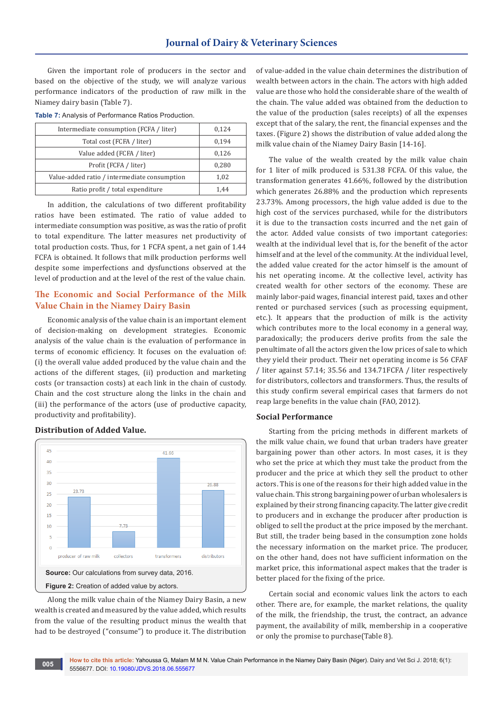Given the important role of producers in the sector and based on the objective of the study, we will analyze various performance indicators of the production of raw milk in the Niamey dairy basin (Table 7).

| <b>Table 7:</b> Analysis of Performance Ratios Production. |
|------------------------------------------------------------|
|                                                            |

| Intermediate consumption (FCFA / liter)      | 0,124 |
|----------------------------------------------|-------|
| Total cost (FCFA / liter)                    | 0,194 |
| Value added (FCFA / liter)                   | 0,126 |
| Profit (FCFA / liter)                        | 0,280 |
| Value-added ratio / intermediate consumption | 1,02  |
| Ratio profit / total expenditure             | 1.44  |

In addition, the calculations of two different profitability ratios have been estimated. The ratio of value added to intermediate consumption was positive, as was the ratio of profit to total expenditure. The latter measures net productivity of total production costs. Thus, for 1 FCFA spent, a net gain of 1.44 FCFA is obtained. It follows that milk production performs well despite some imperfections and dysfunctions observed at the level of production and at the level of the rest of the value chain.

### **The Economic and Social Performance of the Milk Value Chain in the Niamey Dairy Basin**

Economic analysis of the value chain is an important element of decision-making on development strategies. Economic analysis of the value chain is the evaluation of performance in terms of economic efficiency. It focuses on the evaluation of: (i) the overall value added produced by the value chain and the actions of the different stages, (ii) production and marketing costs (or transaction costs) at each link in the chain of custody. Chain and the cost structure along the links in the chain and (iii) the performance of the actors (use of productive capacity, productivity and profitability).

# **Distribution of Added Value.**



Along the milk value chain of the Niamey Dairy Basin, a new wealth is created and measured by the value added, which results from the value of the resulting product minus the wealth that had to be destroyed ("consume") to produce it. The distribution

of value-added in the value chain determines the distribution of wealth between actors in the chain. The actors with high added value are those who hold the considerable share of the wealth of the chain. The value added was obtained from the deduction to the value of the production (sales receipts) of all the expenses except that of the salary, the rent, the financial expenses and the taxes. (Figure 2) shows the distribution of value added along the milk value chain of the Niamey Dairy Basin [14-16].

The value of the wealth created by the milk value chain for 1 liter of milk produced is 531.38 FCFA. Of this value, the transformation generates 41.66%, followed by the distribution which generates 26.88% and the production which represents 23.73%. Among processors, the high value added is due to the high cost of the services purchased, while for the distributors it is due to the transaction costs incurred and the net gain of the actor. Added value consists of two important categories: wealth at the individual level that is, for the benefit of the actor himself and at the level of the community. At the individual level, the added value created for the actor himself is the amount of his net operating income. At the collective level, activity has created wealth for other sectors of the economy. These are mainly labor-paid wages, financial interest paid, taxes and other rented or purchased services (such as processing equipment, etc.). It appears that the production of milk is the activity which contributes more to the local economy in a general way, paradoxically; the producers derive profits from the sale the penultimate of all the actors given the low prices of sale to which they yield their product. Their net operating income is 56 CFAF / liter against 57.14; 35.56 and 134.71FCFA / liter respectively for distributors, collectors and transformers. Thus, the results of this study confirm several empirical cases that farmers do not reap large benefits in the value chain (FAO, 2012).

#### **Social Performance**

Starting from the pricing methods in different markets of the milk value chain, we found that urban traders have greater bargaining power than other actors. In most cases, it is they who set the price at which they must take the product from the producer and the price at which they sell the product to other actors. This is one of the reasons for their high added value in the value chain. This strong bargaining power of urban wholesalers is explained by their strong financing capacity. The latter give credit to producers and in exchange the producer after production is obliged to sell the product at the price imposed by the merchant. But still, the trader being based in the consumption zone holds the necessary information on the market price. The producer, on the other hand, does not have sufficient information on the market price, this informational aspect makes that the trader is better placed for the fixing of the price.

Certain social and economic values link the actors to each other. There are, for example, the market relations, the quality of the milk, the friendship, the trust, the contract, an advance payment, the availability of milk, membership in a cooperative or only the promise to purchase(Table 8).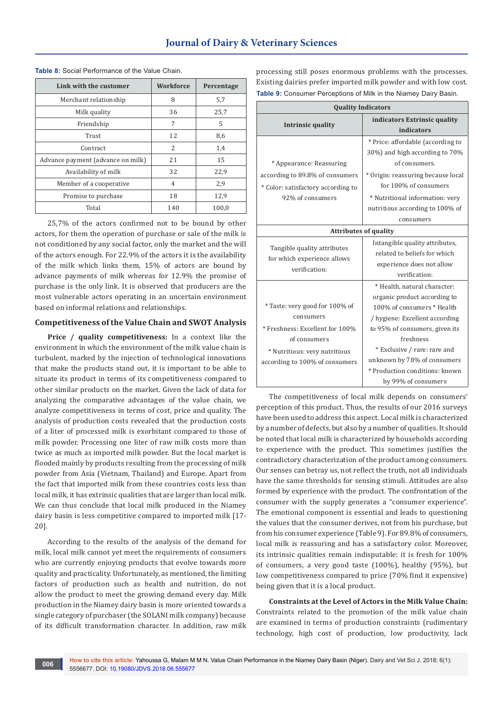| Link with the customer            | Workforce      | Percentage |
|-----------------------------------|----------------|------------|
| Merchant relationship             | 8              | 5,7        |
| Milk quality                      | 36             | 25,7       |
| Friendship                        | 7              | .5         |
| Trust                             | 12             | 8,6        |
| Contract                          | $\mathcal{L}$  | 1,4        |
| Advance payment (advance on milk) | 21             | 15         |
| Availability of milk              | 32             | 22,9       |
| Member of a cooperative           | $\overline{4}$ | 2,9        |
| Promise to purchase               | 18             | 12,9       |
| Total                             | 140            | 100,0      |

**Table 8:** Social Performance of the Value Chain.

25,7% of the actors confirmed not to be bound by other actors, for them the operation of purchase or sale of the milk is not conditioned by any social factor, only the market and the will of the actors enough. For 22.9% of the actors it is the availability of the milk which links them, 15% of actors are bound by advance payments of milk whereas for 12.9% the promise of purchase is the only link. It is observed that producers are the most vulnerable actors operating in an uncertain environment based on informal relations and relationships.

#### **Competitiveness of the Value Chain and SWOT Analysis**

**Price / quality competitiveness:** In a context like the environment in which the environment of the milk value chain is turbulent, marked by the injection of technological innovations that make the products stand out, it is important to be able to situate its product in terms of its competitiveness compared to other similar products on the market. Given the lack of data for analyzing the comparative advantages of the value chain, we analyze competitiveness in terms of cost, price and quality. The analysis of production costs revealed that the production costs of a liter of processed milk is exorbitant compared to those of milk powder. Processing one liter of raw milk costs more than twice as much as imported milk powder. But the local market is flooded mainly by products resulting from the processing of milk powder from Asia (Vietnam, Thailand) and Europe. Apart from the fact that imported milk from these countries costs less than local milk, it has extrinsic qualities that are larger than local milk. We can thus conclude that local milk produced in the Niamey dairy basin is less competitive compared to imported milk [17- 20].

According to the results of the analysis of the demand for milk, local milk cannot yet meet the requirements of consumers who are currently enjoying products that evolve towards more quality and practicality. Unfortunately, as mentioned, the limiting factors of production such as health and nutrition, do not allow the product to meet the growing demand every day. Milk production in the Niamey dairy basin is more oriented towards a single category of purchaser (the SOLANI milk company) because of its difficult transformation character. In addition, raw milk processing still poses enormous problems with the processes. Existing dairies prefer imported milk powder and with low cost. **Table 9:** Consumer Perceptions of Milk in the Niamey Dairy Basin.

| <b>Quality Indicators</b>                                                                                                                                         |                                                                                                                                                                                                                                                                                                     |  |
|-------------------------------------------------------------------------------------------------------------------------------------------------------------------|-----------------------------------------------------------------------------------------------------------------------------------------------------------------------------------------------------------------------------------------------------------------------------------------------------|--|
| <b>Intrinsic quality</b>                                                                                                                                          | indicators Extrinsic quality<br>indicators                                                                                                                                                                                                                                                          |  |
| * Appearance: Reassuring<br>according to 89.8% of consumers<br>* Color: satisfactory according to<br>92% of consumers                                             | * Price: affordable (according to<br>30%) and high according to 70%<br>of consumers.<br>* Origin: reassuring because local<br>for 100% of consumers<br>* Nutritional information: very<br>nutritious according to 100% of<br>consumers                                                              |  |
| <b>Attributes of quality</b>                                                                                                                                      |                                                                                                                                                                                                                                                                                                     |  |
| Tangible quality attributes<br>for which experience allows<br>verification:                                                                                       | Intangible quality attributes,<br>related to beliefs for which<br>experience does not allow<br>verification:                                                                                                                                                                                        |  |
| * Taste: very good for 100% of<br>consumers<br>* Freshness: Excellent for 100%<br>of consumers<br>* Nutritious: very nutritious<br>according to 100% of consumers | * Health, natural character:<br>organic product according to<br>100% of consumers * Health<br>/ hygiene: Excellent according<br>to 95% of consumers, given its<br>freshness<br>* Exclusive / rare: rare and<br>unknown by 78% of consumers<br>* Production conditions: known<br>by 99% of consumers |  |

The competitiveness of local milk depends on consumers' perception of this product. Thus, the results of our 2016 surveys have been used to address this aspect. Local milk is characterized by a number of defects, but also by a number of qualities. It should be noted that local milk is characterized by households according to experience with the product. This sometimes justifies the contradictory characterization of the product among consumers. Our senses can betray us, not reflect the truth, not all individuals have the same thresholds for sensing stimuli. Attitudes are also formed by experience with the product. The confrontation of the consumer with the supply generates a "consumer experience". The emotional component is essential and leads to questioning the values that the consumer derives, not from his purchase, but from his consumer experience (Table 9). For 89.8% of consumers, local milk is reassuring and has a satisfactory color. Moreover, its intrinsic qualities remain indisputable: it is fresh for 100% of consumers, a very good taste (100%), healthy (95%), but low competitiveness compared to price (70% find it expensive) being given that it is a local product.

**Constraints at the Level of Actors in the Milk Value Chain:** Constraints related to the promotion of the milk value chain are examined in terms of production constraints (rudimentary technology, high cost of production, low productivity, lack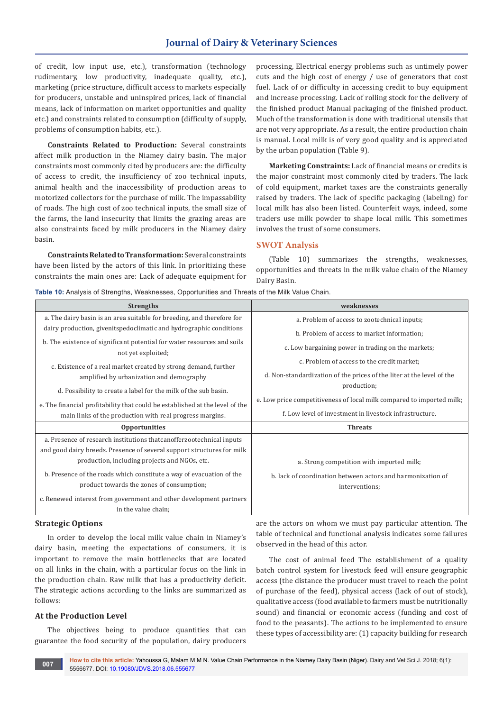## **Journal of Dairy & Veterinary Sciences**

of credit, low input use, etc.), transformation (technology rudimentary, low productivity, inadequate quality, etc.), marketing (price structure, difficult access to markets especially for producers, unstable and uninspired prices, lack of financial means, lack of information on market opportunities and quality etc.) and constraints related to consumption (difficulty of supply, problems of consumption habits, etc.).

**Constraints Related to Production:** Several constraints affect milk production in the Niamey dairy basin. The major constraints most commonly cited by producers are: the difficulty of access to credit, the insufficiency of zoo technical inputs, animal health and the inaccessibility of production areas to motorized collectors for the purchase of milk. The impassability of roads. The high cost of zoo technical inputs, the small size of the farms, the land insecurity that limits the grazing areas are also constraints faced by milk producers in the Niamey dairy basin.

**Constraints Related to Transformation:** Several constraints have been listed by the actors of this link. In prioritizing these constraints the main ones are: Lack of adequate equipment for

processing, Electrical energy problems such as untimely power cuts and the high cost of energy / use of generators that cost fuel. Lack of or difficulty in accessing credit to buy equipment and increase processing. Lack of rolling stock for the delivery of the finished product Manual packaging of the finished product. Much of the transformation is done with traditional utensils that are not very appropriate. As a result, the entire production chain is manual. Local milk is of very good quality and is appreciated by the urban population (Table 9).

**Marketing Constraints:** Lack of financial means or credits is the major constraint most commonly cited by traders. The lack of cold equipment, market taxes are the constraints generally raised by traders. The lack of specific packaging (labeling) for local milk has also been listed. Counterfeit ways, indeed, some traders use milk powder to shape local milk. This sometimes involves the trust of some consumers.

#### **SWOT Analysis**

(Table 10) summarizes the strengths, weaknesses, opportunities and threats in the milk value chain of the Niamey Dairy Basin.

| <b>Strengths</b>                                                                                                                                                                                   | weaknesses                                                                                                                 |
|----------------------------------------------------------------------------------------------------------------------------------------------------------------------------------------------------|----------------------------------------------------------------------------------------------------------------------------|
| a. The dairy basin is an area suitable for breeding, and therefore for                                                                                                                             | a. Problem of access to zootechnical inputs;                                                                               |
| dairy production, givenitspedoclimatic and hydrographic conditions                                                                                                                                 | b. Problem of access to market information;                                                                                |
| b. The existence of significant potential for water resources and soils<br>not yet exploited;                                                                                                      | c. Low bargaining power in trading on the markets;                                                                         |
| c. Existence of a real market created by strong demand, further                                                                                                                                    | c. Problem of access to the credit market;                                                                                 |
| amplified by urbanization and demography                                                                                                                                                           | d. Non-standardization of the prices of the liter at the level of the                                                      |
| d. Possibility to create a label for the milk of the sub basin.                                                                                                                                    | production;                                                                                                                |
| e. The financial profitability that could be established at the level of the                                                                                                                       | e. Low price competitiveness of local milk compared to imported milk;                                                      |
| main links of the production with real progress margins.                                                                                                                                           | f. Low level of investment in livestock infrastructure.                                                                    |
| <b>Opportunities</b>                                                                                                                                                                               | <b>Threats</b>                                                                                                             |
| a. Presence of research institutions that can offer zootechnical inputs<br>and good dairy breeds. Presence of several support structures for milk<br>production, including projects and NGOs, etc. |                                                                                                                            |
| b. Presence of the roads which constitute a way of evacuation of the<br>product towards the zones of consumption;                                                                                  | a. Strong competition with imported milk;<br>b. lack of coordination between actors and harmonization of<br>interventions; |
| c. Renewed interest from government and other development partners<br>in the value chain;                                                                                                          |                                                                                                                            |

#### **Table 10:** Analysis of Strengths, Weaknesses, Opportunities and Threats of the Milk Value Chain.

#### **Strategic Options**

In order to develop the local milk value chain in Niamey's dairy basin, meeting the expectations of consumers, it is important to remove the main bottlenecks that are located on all links in the chain, with a particular focus on the link in the production chain. Raw milk that has a productivity deficit. The strategic actions according to the links are summarized as follows:

#### **At the Production Level**

The objectives being to produce quantities that can guarantee the food security of the population, dairy producers

are the actors on whom we must pay particular attention. The table of technical and functional analysis indicates some failures observed in the head of this actor.

The cost of animal feed The establishment of a quality batch control system for livestock feed will ensure geographic access (the distance the producer must travel to reach the point of purchase of the feed), physical access (lack of out of stock), qualitative access (food available to farmers must be nutritionally sound) and financial or economic access (funding and cost of food to the peasants). The actions to be implemented to ensure these types of accessibility are: (1) capacity building for research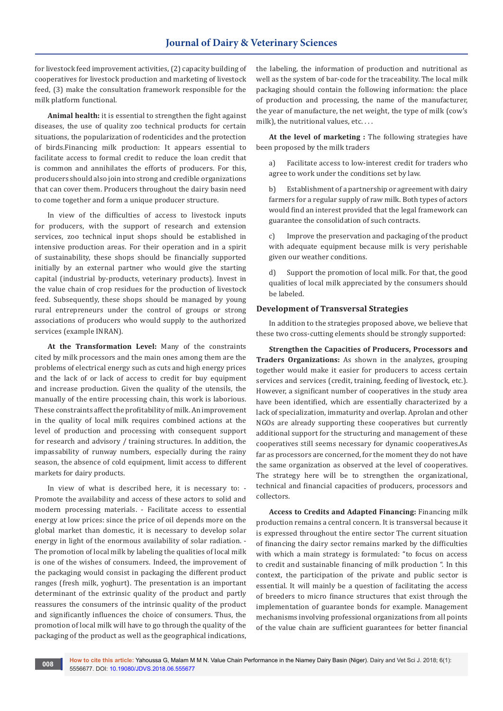for livestock feed improvement activities, (2) capacity building of cooperatives for livestock production and marketing of livestock feed, (3) make the consultation framework responsible for the milk platform functional.

**Animal health:** it is essential to strengthen the fight against diseases, the use of quality zoo technical products for certain situations, the popularization of rodenticides and the protection of birds.Financing milk production: It appears essential to facilitate access to formal credit to reduce the loan credit that is common and annihilates the efforts of producers. For this, producers should also join into strong and credible organizations that can cover them. Producers throughout the dairy basin need to come together and form a unique producer structure.

In view of the difficulties of access to livestock inputs for producers, with the support of research and extension services, zoo technical input shops should be established in intensive production areas. For their operation and in a spirit of sustainability, these shops should be financially supported initially by an external partner who would give the starting capital (industrial by-products, veterinary products). Invest in the value chain of crop residues for the production of livestock feed. Subsequently, these shops should be managed by young rural entrepreneurs under the control of groups or strong associations of producers who would supply to the authorized services (example INRAN).

**At the Transformation Level:** Many of the constraints cited by milk processors and the main ones among them are the problems of electrical energy such as cuts and high energy prices and the lack of or lack of access to credit for buy equipment and increase production. Given the quality of the utensils, the manually of the entire processing chain, this work is laborious. These constraints affect the profitability of milk. An improvement in the quality of local milk requires combined actions at the level of production and processing with consequent support for research and advisory / training structures. In addition, the impassability of runway numbers, especially during the rainy season, the absence of cold equipment, limit access to different markets for dairy products.

In view of what is described here, it is necessary to: - Promote the availability and access of these actors to solid and modern processing materials. - Facilitate access to essential energy at low prices: since the price of oil depends more on the global market than domestic, it is necessary to develop solar energy in light of the enormous availability of solar radiation. - The promotion of local milk by labeling the qualities of local milk is one of the wishes of consumers. Indeed, the improvement of the packaging would consist in packaging the different product ranges (fresh milk, yoghurt). The presentation is an important determinant of the extrinsic quality of the product and partly reassures the consumers of the intrinsic quality of the product and significantly influences the choice of consumers. Thus, the promotion of local milk will have to go through the quality of the packaging of the product as well as the geographical indications,

the labeling, the information of production and nutritional as well as the system of bar-code for the traceability. The local milk packaging should contain the following information: the place of production and processing, the name of the manufacturer, the year of manufacture, the net weight, the type of milk (cow's milk), the nutritional values, etc....

**At the level of marketing :** The following strategies have been proposed by the milk traders

a) Facilitate access to low-interest credit for traders who agree to work under the conditions set by law.

b) Establishment of a partnership or agreement with dairy farmers for a regular supply of raw milk. Both types of actors would find an interest provided that the legal framework can guarantee the consolidation of such contracts.

c) Improve the preservation and packaging of the product with adequate equipment because milk is very perishable given our weather conditions.

d) Support the promotion of local milk. For that, the good qualities of local milk appreciated by the consumers should be labeled.

#### **Development of Transversal Strategies**

In addition to the strategies proposed above, we believe that these two cross-cutting elements should be strongly supported:

**Strengthen the Capacities of Producers, Processors and Traders Organizations:** As shown in the analyzes, grouping together would make it easier for producers to access certain services and services (credit, training, feeding of livestock, etc.). However, a significant number of cooperatives in the study area have been identified, which are essentially characterized by a lack of specialization, immaturity and overlap. Aprolan and other NGOs are already supporting these cooperatives but currently additional support for the structuring and management of these cooperatives still seems necessary for dynamic cooperatives.As far as processors are concerned, for the moment they do not have the same organization as observed at the level of cooperatives. The strategy here will be to strengthen the organizational, technical and financial capacities of producers, processors and collectors.

**Access to Credits and Adapted Financing:** Financing milk production remains a central concern. It is transversal because it is expressed throughout the entire sector The current situation of financing the dairy sector remains marked by the difficulties with which a main strategy is formulated: "to focus on access to credit and sustainable financing of milk production ". In this context, the participation of the private and public sector is essential. It will mainly be a question of facilitating the access of breeders to micro finance structures that exist through the implementation of guarantee bonds for example. Management mechanisms involving professional organizations from all points of the value chain are sufficient guarantees for better financial